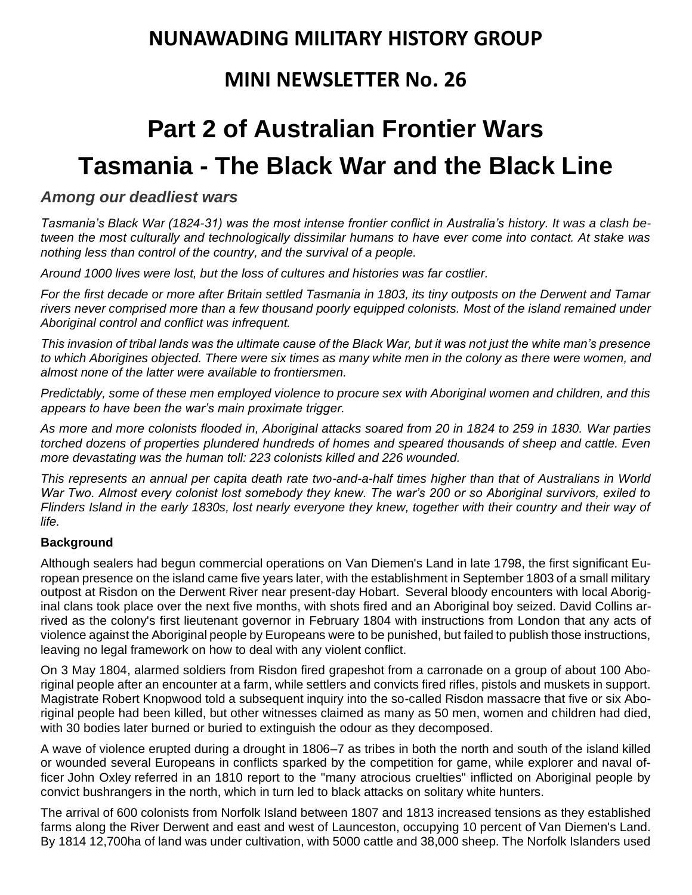## **NUNAWADING MILITARY HISTORY GROUP**

## **MINI NEWSLETTER No. 26**

# **Part 2 of Australian Frontier Wars Tasmania - The Black War and the Black Line**

### *Among our deadliest wars*

*Tasmania's [Black War](http://en.wikipedia.org/wiki/Black_War) (1824-31) was the most intense frontier conflict in Australia's history. It was a clash between the most culturally and technologically dissimilar humans to have ever come into contact. At stake was nothing less than control of the country, and the survival of a people.*

*Around 1000 lives were lost, but the loss of cultures and histories was far costlier.* 

*For the first decade or more after Britain settled Tasmania in 1803, its tiny outposts on the Derwent and Tamar rivers never comprised more than a few thousand poorly equipped colonists. Most of the island remained under Aboriginal control and conflict was infrequent.* 

*This invasion of tribal lands was the ultimate cause of the Black War, but it was not just the white man's presence to which Aborigines objected. There were six times as many white men in the colony as there were women, and almost none of the latter were available to frontiersmen.*

*Predictably, some of these men employed violence to procure sex with Aboriginal women and children, and this appears to have been the war's main proximate trigger.*

*As more and more colonists flooded in, Aboriginal attacks soared from 20 in 1824 to 259 in 1830. War parties torched dozens of properties plundered hundreds of homes and speared thousands of sheep and cattle. Even more devastating was the human toll: 223 colonists killed and 226 wounded.*

*This represents an annual per capita death rate two-and-a-half times higher than that of Australians in World War Two. Almost every colonist lost somebody they knew. The war's 200 or so Aboriginal survivors, exiled to Flinders Island in the early 1830s, lost nearly everyone they knew, together with their country and their way of life.*

#### **Background**

Although sealers had begun commercial operations on Van [Diemen's Land](https://en.wikipedia.org/wiki/Van_Diemen%27s_Land) in late 1798, the first significant European presence on the island came five years later, with the establishment in September 1803 of a small military outpost at Risdon on the [Derwent River](https://en.wikipedia.org/wiki/River_Derwent_(Tasmania)) near present-day [Hobart.](https://en.wikipedia.org/wiki/Hobart) Several bloody encounters with local Aboriginal clans took place over the next five months, with shots fired and an Aboriginal boy seized. [David Collins](https://en.wikipedia.org/wiki/David_Collins_(lieutenant_governor)) arrived as the colony's first lieutenant governor in February 1804 with instructions from London that any acts of violence against the Aboriginal people by Europeans were to be punished, but failed to publish those instructions, leaving no legal framework on how to deal with any violent conflict.

On 3 May 1804, alarmed soldiers from Risdon fired [grapeshot](https://en.wikipedia.org/wiki/Grapeshot) from a [carronade](https://en.wikipedia.org/wiki/Carronade) on a group of about 100 Aboriginal people after an encounter at a farm, while settlers and convicts fired rifles, pistols and muskets in support. Magistrate Robert Knopwood told a subsequent inquiry into the so-called Risdon massacre that five or six Aboriginal people had been killed, but other witnesses claimed as many as 50 men, women and children had died, with 30 bodies later burned or buried to extinguish the odour as they decomposed.

A wave of violence erupted during a drought in 1806–7 as tribes in both the north and south of the island killed or wounded several Europeans in conflicts sparked by the competition for game, while explorer and naval officer [John Oxley](https://en.wikipedia.org/wiki/John_Oxley) referred in an 1810 report to the "many atrocious cruelties" inflicted on Aboriginal people by convict [bushrangers](https://en.wikipedia.org/wiki/Bushranger) in the north, which in turn led to black attacks on solitary white hunters.

The arrival of 600 colonists from [Norfolk Island](https://en.wikipedia.org/wiki/Norfolk_Island) between 1807 and 1813 increased tensions as they established farms along the River Derwent and east and west of [Launceston,](https://en.wikipedia.org/wiki/Launceston,_Tasmania) occupying 10 percent of Van Diemen's Land. By 1814 12,700ha of land was under cultivation, with 5000 cattle and 38,000 sheep. The Norfolk Islanders used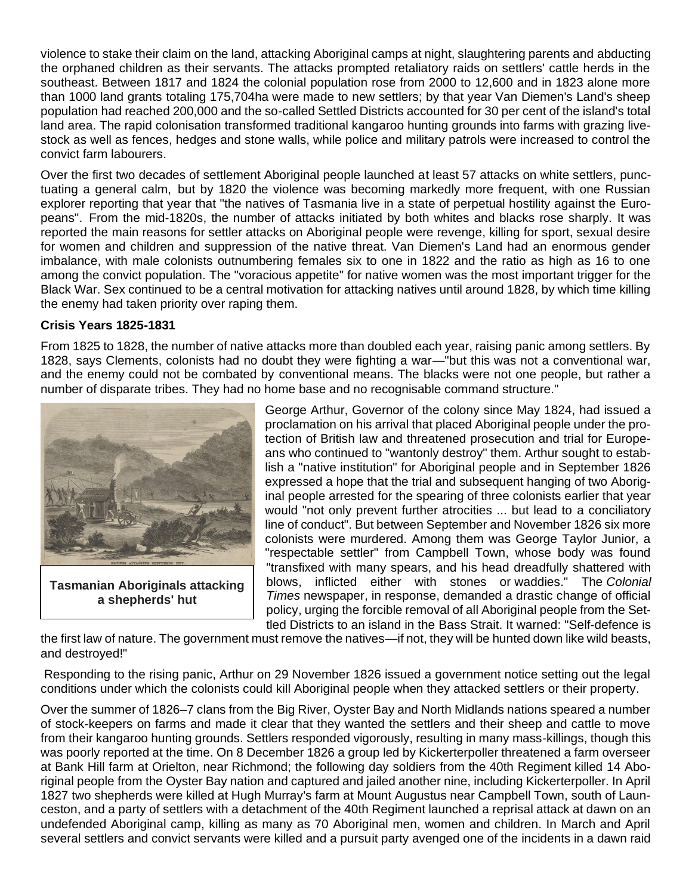violence to stake their claim on the land, attacking Aboriginal camps at night, slaughtering parents and abducting the orphaned children as their servants. The attacks prompted retaliatory raids on settlers' cattle herds in the southeast. Between 1817 and 1824 the colonial population rose from 2000 to 12,600 and in 1823 alone more than 1000 land grants totaling 175,704ha were made to new settlers; by that year Van Diemen's Land's sheep population had reached 200,000 and the so-called Settled Districts accounted for 30 per cent of the island's total land area. The rapid colonisation transformed traditional kangaroo hunting grounds into farms with grazing livestock as well as fences, hedges and stone walls, while police and military patrols were increased to control the convict farm labourers.

Over the first two decades of settlement Aboriginal people launched at least 57 attacks on white settlers, punctuating a general calm, but by 1820 the violence was becoming markedly more frequent, with one Russian explorer reporting that year that "the natives of Tasmania live in a state of perpetual hostility against the Europeans". From the mid-1820s, the number of attacks initiated by both whites and blacks rose sharply. It was reported the main reasons for settler attacks on Aboriginal people were revenge, killing for sport, sexual desire for women and children and suppression of the native threat. Van Diemen's Land had an enormous gender imbalance, with male colonists outnumbering females six to one in 1822 and the ratio as high as 16 to one among the convict population. The "voracious appetite" for native women was the most important trigger for the Black War. Sex continued to be a central motivation for attacking natives until around 1828, by which time killing the enemy had taken priority over raping them.

#### **Crisis Years 1825-1831**

From 1825 to 1828, the number of native attacks more than doubled each year, raising panic among settlers. By 1828, says Clements, colonists had no doubt they were fighting a war—"but this was not a conventional war, and the enemy could not be combated by conventional means. The blacks were not one people, but rather a number of disparate tribes. They had no home base and no recognisable command structure."



**Tasmanian Aboriginals attacking a shepherds' hut**

George Arthur, Governor of the colony since May 1824, had issued a proclamation on his arrival that placed Aboriginal people under the protection of British law and threatened prosecution and trial for Europeans who continued to "wantonly destroy" them. Arthur sought to establish a "native institution" for Aboriginal people and in September 1826 expressed a hope that the trial and subsequent hanging of two Aboriginal people arrested for the spearing of three colonists earlier that year would "not only prevent further atrocities ... but lead to a conciliatory line of conduct". But between September and November 1826 six more colonists were murdered. Among them was George Taylor Junior, a "respectable settler" from Campbell Town, whose body was found "transfixed with many spears, and his head dreadfully shattered with blows, inflicted either with stones or [waddies.](https://en.wikipedia.org/wiki/Waddy)" The *Colonial Times* newspaper, in response, demanded a drastic change of official policy, urging the forcible removal of all Aboriginal people from the Settled Districts to an island in the [Bass Strait.](https://en.wikipedia.org/wiki/Bass_Strait) It warned: "Self-defence is

the first law of nature. The government must remove the natives—if not, they will be hunted down like wild beasts, and destroyed!"

Responding to the rising panic, Arthur on 29 November 1826 issued a government notice setting out the legal conditions under which the colonists could kill Aboriginal people when they attacked settlers or their property.

Over the summer of 1826–7 clans from the Big River, Oyster Bay and North Midlands nations speared a number of stock-keepers on farms and made it clear that they wanted the settlers and their sheep and cattle to move from their kangaroo hunting grounds. Settlers responded vigorously, resulting in many mass-killings, though this was poorly reported at the time. On 8 December 1826 a group led by Kickerterpoller threatened a farm overseer at Bank Hill farm at Orielton, near [Richmond;](https://en.wikipedia.org/wiki/Richmond,_Tasmania) the following day soldiers from the [40th Regiment](https://en.wikipedia.org/wiki/40th_Regiment_of_Foot) killed 14 Aboriginal people from the Oyster Bay nation and captured and jailed another nine, including Kickerterpoller. In April 1827 two shepherds were killed at Hugh Murray's farm at Mount Augustus near Campbell Town, south of Launceston, and a party of settlers with a detachment of the 40th Regiment launched a reprisal attack at dawn on an undefended Aboriginal camp, killing as many as 70 Aboriginal men, women and children. In March and April several settlers and convict servants were killed and a pursuit party avenged one of the incidents in a dawn raid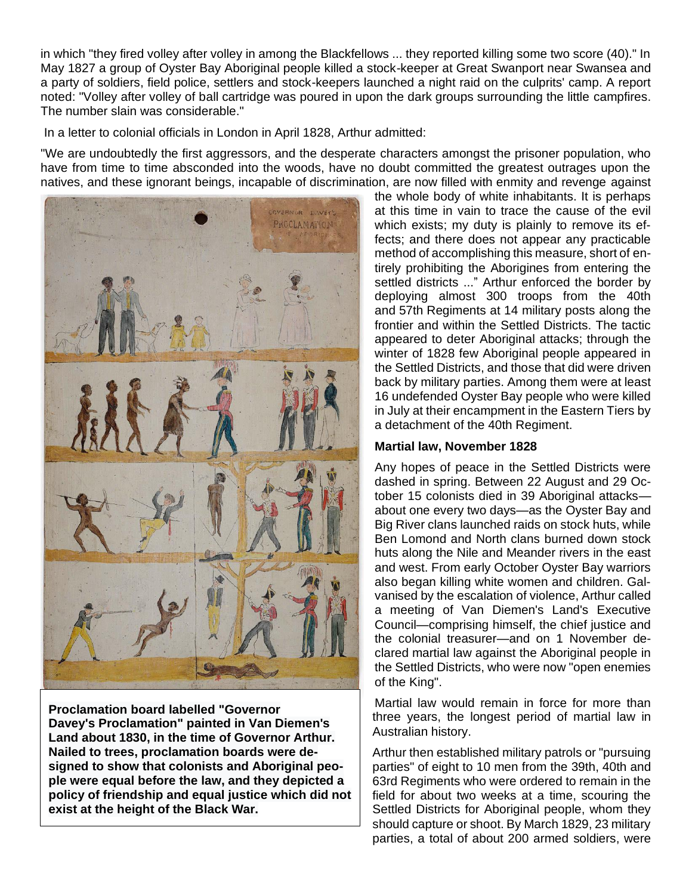in which "they fired volley after volley in among the Blackfellows ... they reported killing some two score (40)." In May 1827 a group of Oyster Bay Aboriginal people killed a stock-keeper at Great Swanport near [Swansea](https://en.wikipedia.org/wiki/Swansea,_Tasmania) and a party of soldiers, field police, settlers and stock-keepers launched a night raid on the culprits' camp. A report noted: "Volley after volley of ball cartridge was poured in upon the dark groups surrounding the little campfires. The number slain was considerable."

In a letter to colonial officials in London in April 1828, Arthur admitted:

"We are undoubtedly the first aggressors, and the desperate characters amongst the prisoner population, who have from time to time absconded into the woods, have no doubt committed the greatest outrages upon the natives, and these ignorant beings, incapable of discrimination, are now filled with enmity and revenge against



**Proclamation board labelled ["Governor](https://en.wikipedia.org/wiki/Thomas_Davey_(governor))  [Davey'](https://en.wikipedia.org/wiki/Thomas_Davey_(governor))s [Proclamation"](https://en.wikipedia.org/wiki/Governor_Davey%27s_Proclamation) painted in Van Diemen's Land about 1830, in the time of Governor Arthur. Nailed to trees, proclamation boards were designed to show that colonists and Aboriginal people were equal before the law, and they depicted a policy of friendship and equal justice which did not exist at the height of the Black War.**

the whole body of white inhabitants. It is perhaps at this time in vain to trace the cause of the evil which exists; my duty is plainly to remove its effects; and there does not appear any practicable method of accomplishing this measure, short of entirely prohibiting the Aborigines from entering the settled districts ..." Arthur enforced the border by deploying almost 300 troops from the 40th and [57th](https://en.wikipedia.org/wiki/57th_(West_Middlesex)_Regiment_of_Foot) Regiments at 14 military posts along the frontier and within the Settled Districts. The tactic appeared to deter Aboriginal attacks; through the winter of 1828 few Aboriginal people appeared in the Settled Districts, and those that did were driven back by military parties. Among them were at least 16 undefended Oyster Bay people who were killed in July at their encampment in the Eastern Tiers by a detachment of the 40th Regiment.

#### **Martial law, November 1828**

Any hopes of peace in the Settled Districts were dashed in spring. Between 22 August and 29 October 15 colonists died in 39 Aboriginal attacks about one every two days—as the Oyster Bay and Big River clans launched raids on stock huts, while Ben Lomond and North clans burned down stock huts along the Nile and Meander rivers in the east and west. From early October Oyster Bay warriors also began killing white women and children. Galvanised by the escalation of violence, Arthur called a meeting of Van Diemen's Land's Executive Council—comprising himself, the chief justice and the colonial treasurer—and on 1 November declared [martial law](https://en.wikipedia.org/wiki/Martial_law) against the Aboriginal people in the Settled Districts, who were now "open enemies of the King".

Martial law would remain in force for more than three years, the longest period of martial law in Australian history.

Arthur then established military patrols or "pursuing parties" of eight to 10 men from the [39th,](https://en.wikipedia.org/wiki/39th_(Dorsetshire)_Regiment_of_Foot) 40th and 63rd Regiments who were ordered to remain in the field for about two weeks at a time, scouring the Settled Districts for Aboriginal people, whom they should capture or shoot. By March 1829, 23 military parties, a total of about 200 armed soldiers, were